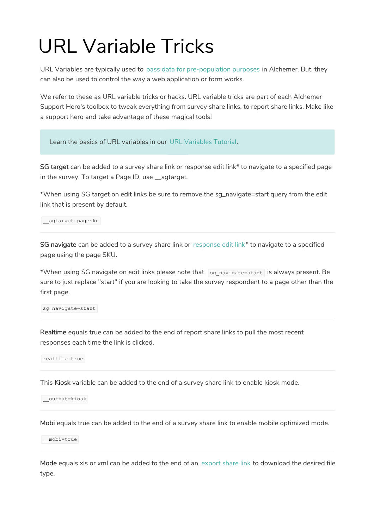## URL Variable Tricks

URL Variables are typically used to pass data for pre-population purposes in Alchemer. But, they can also be used to control the way a web application or form works.

We refer to these as URL variable tricks or hacks. URL variable tricks are part of each Alchemer Support Hero's toolbox to tweak everything from survey share links, to report share links. Make like a support hero and take advantage of these magical tools!

Learn the basics of URL variables in our URL Variables Tutorial.

SG target can be added to a survey share link or response edit link\* to navigate to a specified page in the survey. To target a Page ID, use \_\_sgtarget.

\*When using SG target on edit links be sure to remove the sg\_navigate=start query from the edit link that is present by default.

\_\_sgtarget=pagesku

SG navigate can be added to a survey share link or response edit link\* to navigate to a specified page using the page SKU.

\*When using SG navigate on edit links please note that  $\log$  navigate=start is always present. Be sure to just replace "start" if you are looking to take the survey respondent to a page other than the first page.

sg\_navigate=start

Realtime equals true can be added to the end of report share links to pull the most recent responses each time the link is clicked.

realtime=true

This Kiosk variable can be added to the end of a survey share link to enable kiosk mode.

\_\_output=kiosk

Mobi equals true can be added to the end of a survey share link to enable mobile optimized mode.

\_\_mobi=true

Mode equals xls or xml can be added to the end of an export share link to download the desired file type.